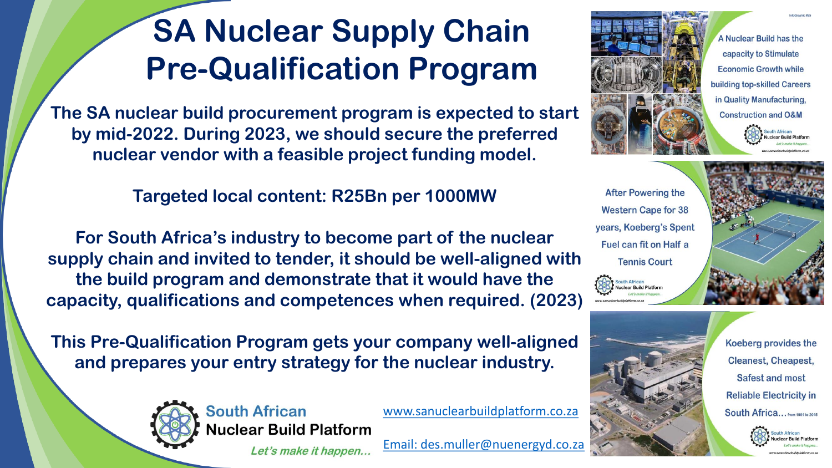# **SA Nuclear Supply Chain Pre-Qualification Program**

**The SA nuclear build procurement program is expected to start by mid-2022. During 2023, we should secure the preferred nuclear vendor with a feasible project funding model.** 

## **Targeted local content: R25Bn per 1000MW**

**For South Africa's industry to become part of the nuclear supply chain and invited to tender, it should be well-aligned with the build program and demonstrate that it would have the capacity, qualifications and competences when required. (2023)**

**This Pre-Qualification Program gets your company well-aligned and prepares your entry strategy for the nuclear industry.** 



[www.sanuclearbuildplatform.co.za](http://www.sanuclearbuildplatform.co.za/) **Nuclear Build Platform** 

Let's make it happen...

[Email: des.muller@nuenergyd.co.za](mailto:des.muller@nuenergyd.co.za)



A Nuclear Build has the capacity to Stimulate **Economic Growth while** building top-skilled Careers in Quality Manufacturing, **Construction and O&M** 

**After Powering the Western Cape for 38** years, Koeberg's Spent Fuel can fit on Half a **Tennis Court** 





Koeberg provides the **Cleanest, Cheapest, Safest and most Reliable Electricity in** South Africa... from 1984 to 2045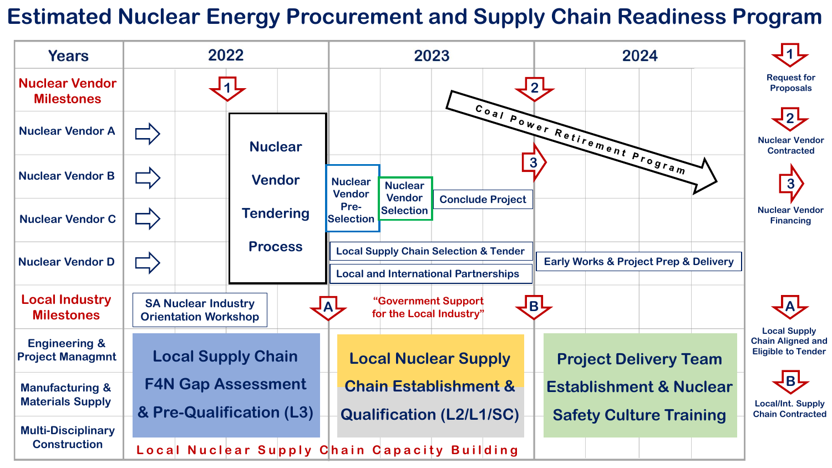## **Estimated Nuclear Energy Procurement and Supply Chain Readiness Program**

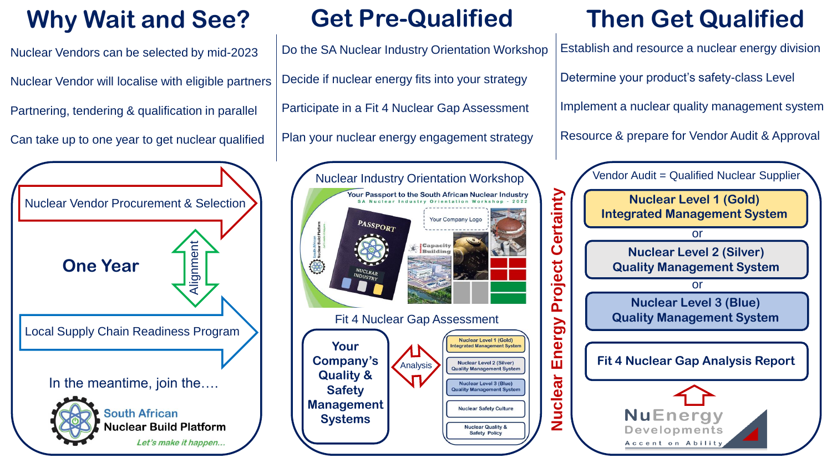## **Why Wait and See? Get Pre-Qualified Then Get Qualified**

Nuclear Vendors can be selected by mid-2023 Nuclear Vendor will localise with eligible partners Partnering, tendering & qualification in parallel

Can take up to one year to get nuclear qualified



Do the SA Nuclear Industry Orientation Workshop Decide if nuclear energy fits into your strategy Participate in a Fit 4 Nuclear Gap Assessment Plan your nuclear energy engagement strategy



Establish and resource a nuclear energy division Determine your product's safety-class Level Implement a nuclear quality management system Resource & prepare for Vendor Audit & Approval

Vendor Audit = Qualified Nuclear Supplier **Nuclear Level 1 (Gold) Integrated Management System** or **Nuclear Level 2 (Silver) Quality Management System** or **Nuclear Level 3 (Blue) Quality Management System Fit 4 Nuclear Gap Analysis Report NuEnergy** Developments Accent on Ability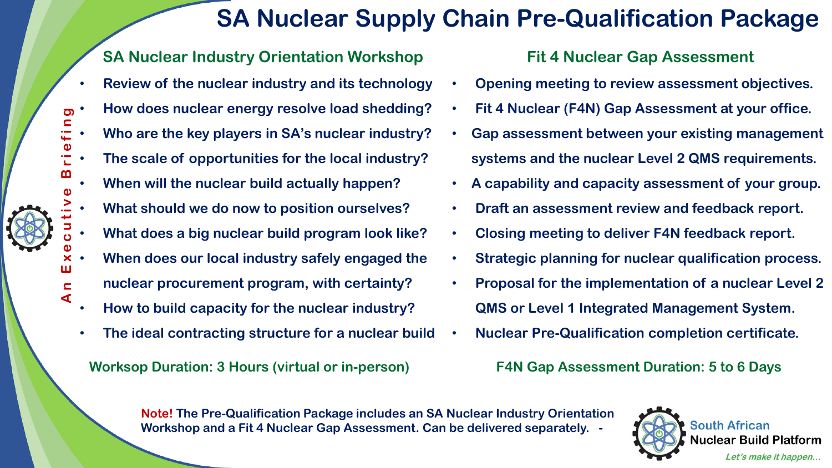## **SA Nuclear Supply Chain Pre-Qualification Package**

### **SA Nuclear Industry Orientation Workshop**

- **Review of the nuclear industry and its technology**
- **How does nuclear energy resolve load shedding?**
- **Who are the key players in SA's nuclear industry?**
- **The scale of opportunities for the local industry?**
- **When will the nuclear build actually happen?**
- **What should we do now to position ourselves?**
- **What does a big nuclear build program look like?**
- An Executive Briefing • **When does our local industry safely engaged the** 
	- **nuclear procurement program, with certainty?**
	- **How to build capacity for the nuclear industry?**

**A**

ш

<u>၅</u>  $\mathbf{C}$ 

• **The ideal contracting structure for a nuclear build**

### **Worksop Duration: 3 Hours (virtual or in-person) F4N Gap Assessment Duration: 5 to 6 Days**

### **Fit 4 Nuclear Gap Assessment**

- **Opening meeting to review assessment objectives.**
- **Fit 4 Nuclear (F4N) Gap Assessment at your office.**
- **Gap assessment between your existing management systems and the nuclear Level 2 QMS requirements.**
- **A capability and capacity assessment of your group.**
- **Draft an assessment review and feedback report.**
- **Closing meeting to deliver F4N feedback report.**
- **Strategic planning for nuclear qualification process.**
- **Proposal for the implementation of a nuclear Level 2 QMS or Level 1 Integrated Management System.**
- **Nuclear Pre-Qualification completion certificate.**

**Note! The Pre-Qualification Package includes an SA Nuclear Industry Orientation Workshop and a Fit 4 Nuclear Gap Assessment. Can be delivered separately. -**